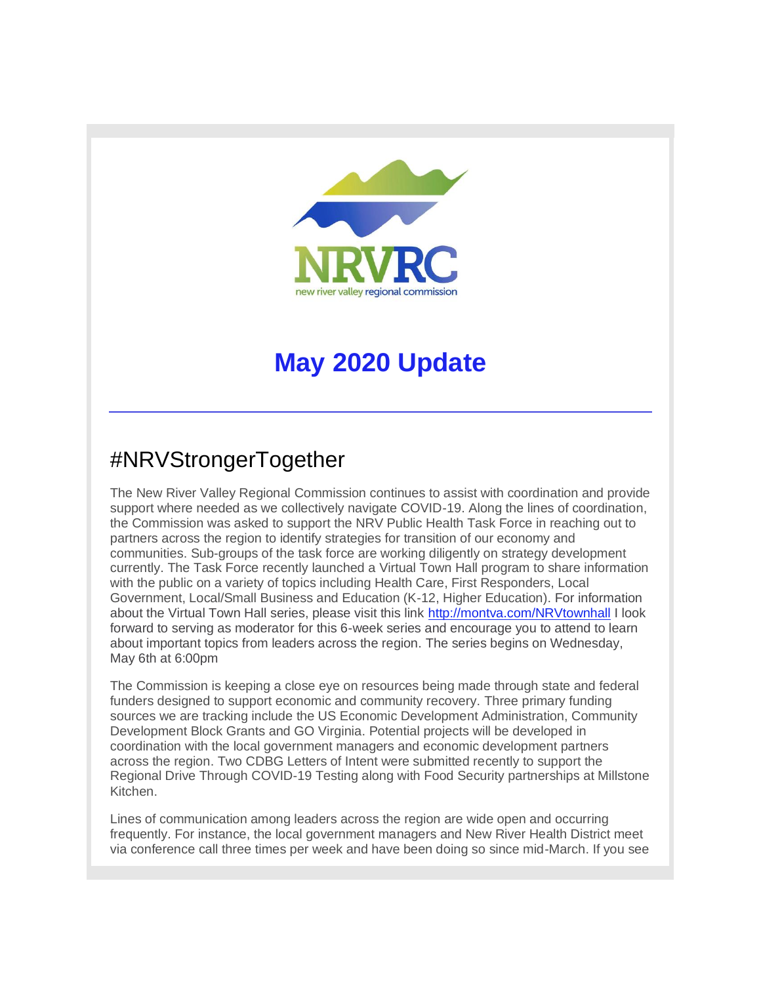

# **May 2020 Update**

## #NRVStrongerTogether

The New River Valley Regional Commission continues to assist with coordination and provide support where needed as we collectively navigate COVID-19. Along the lines of coordination, the Commission was asked to support the NRV Public Health Task Force in reaching out to partners across the region to identify strategies for transition of our economy and communities. Sub-groups of the task force are working diligently on strategy development currently. The Task Force recently launched a Virtual Town Hall program to share information with the public on a variety of topics including Health Care, First Responders, Local Government, Local/Small Business and Education (K-12, Higher Education). For information about the Virtual Town Hall series, please visit this link [http://montva.com/NRVtownhall](http://r20.rs6.net/tn.jsp?f=001Ob1iGxL-zTmkEDr3R6jucoA2pnbmtaY8bDrMMfbC-ldv7RRDH1ix6x-cy1AgwKyFocpHdO9ctnZY1vuOU2UbVadg_mQ-LZPXBKq9h2_LjqR_EZJ-JdkUBUnNx1aqxlM4SW3LyKfOotuTta9Vpy37jA==&c=YBZCMp-ewv3oQEJY2Poe1C_-_iDOcdVG17CTaAUYhHXxVpWxFqVhHQ==&ch=bihBORrbvIgo1qi8OPfbijNkIMFAiG8XjQeehKByJpzR2uyUpiNS_w==) I look forward to serving as moderator for this 6-week series and encourage you to attend to learn about important topics from leaders across the region. The series begins on Wednesday, May 6th at 6:00pm

The Commission is keeping a close eye on resources being made through state and federal funders designed to support economic and community recovery. Three primary funding sources we are tracking include the US Economic Development Administration, Community Development Block Grants and GO Virginia. Potential projects will be developed in coordination with the local government managers and economic development partners across the region. Two CDBG Letters of Intent were submitted recently to support the Regional Drive Through COVID-19 Testing along with Food Security partnerships at Millstone Kitchen.

Lines of communication among leaders across the region are wide open and occurring frequently. For instance, the local government managers and New River Health District meet via conference call three times per week and have been doing so since mid-March. If you see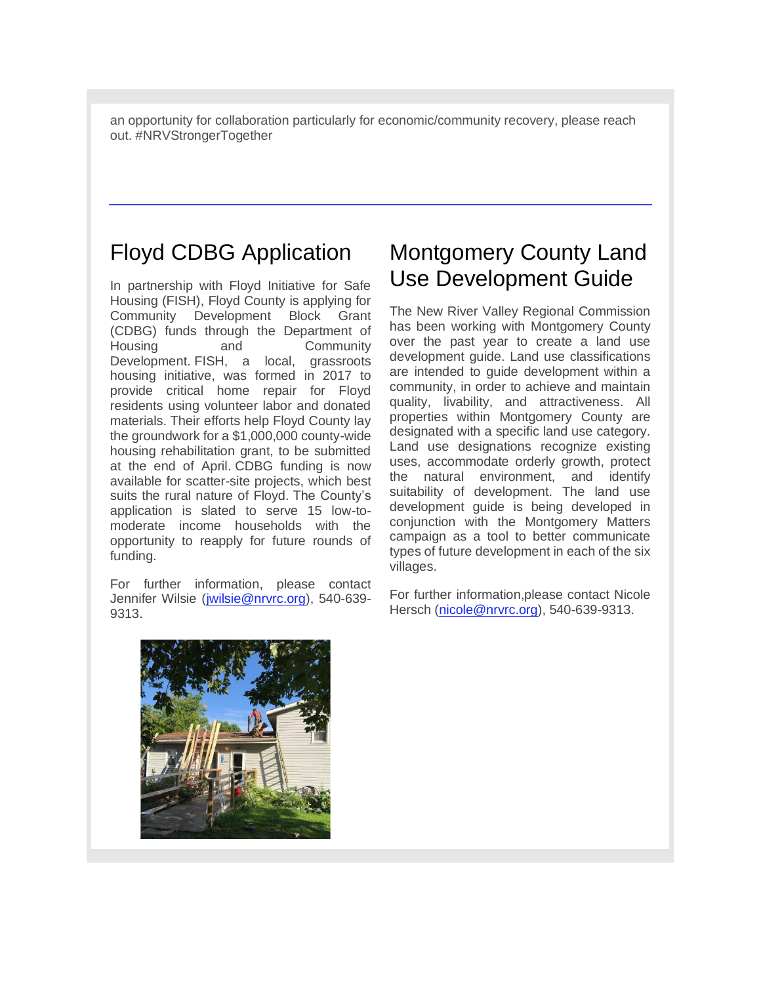an opportunity for collaboration particularly for economic/community recovery, please reach out. #NRVStrongerTogether

#### Floyd CDBG Application

In partnership with Floyd Initiative for Safe Housing (FISH), Floyd County is applying for Community Development Block Grant (CDBG) funds through the Department of Housing and Community Development. FISH, a local, grassroots housing initiative, was formed in 2017 to provide critical home repair for Floyd residents using volunteer labor and donated materials. Their efforts help Floyd County lay the groundwork for a \$1,000,000 county-wide housing rehabilitation grant, to be submitted at the end of April. CDBG funding is now available for scatter-site projects, which best suits the rural nature of Floyd. The County's application is slated to serve 15 low-tomoderate income households with the opportunity to reapply for future rounds of funding.

For further information, please contact Jennifer Wilsie [\(jwilsie@nrvrc.org\)](mailto:jwilsie@nrvrc.org), 540-639- 9313.

#### Montgomery County Land Use Development Guide

The New River Valley Regional Commission has been working with Montgomery County over the past year to create a land use development guide. Land use classifications are intended to guide development within a community, in order to achieve and maintain quality, livability, and attractiveness. All properties within Montgomery County are designated with a specific land use category. Land use designations recognize existing uses, accommodate orderly growth, protect the natural environment, and identify suitability of development. The land use development guide is being developed in conjunction with the Montgomery Matters campaign as a tool to better communicate types of future development in each of the six villages.

For further information,please contact Nicole Hersch [\(nicole@nrvrc.org\)](mailto:nicole@nrvrc.org), 540-639-9313.

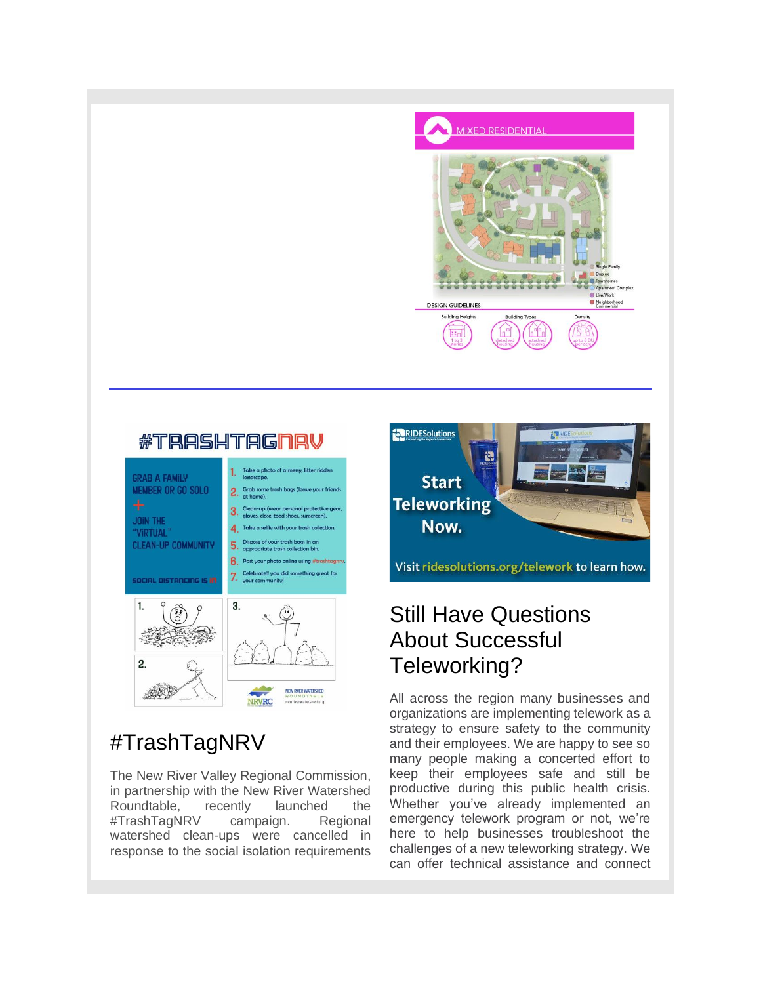

#### **#TRASHTAGNRV**



## #TrashTagNRV

The New River Valley Regional Commission, in partnership with the New River Watershed Roundtable, recently launched the #TrashTagNRV campaign. Regional watershed clean-ups were cancelled in response to the social isolation requirements



## Still Have Questions About Successful Teleworking?

All across the region many businesses and organizations are implementing telework as a strategy to ensure safety to the community and their employees. We are happy to see so many people making a concerted effort to keep their employees safe and still be productive during this public health crisis. Whether you've already implemented an emergency telework program or not, we're here to help businesses troubleshoot the challenges of a new teleworking strategy. We can offer technical assistance and connect